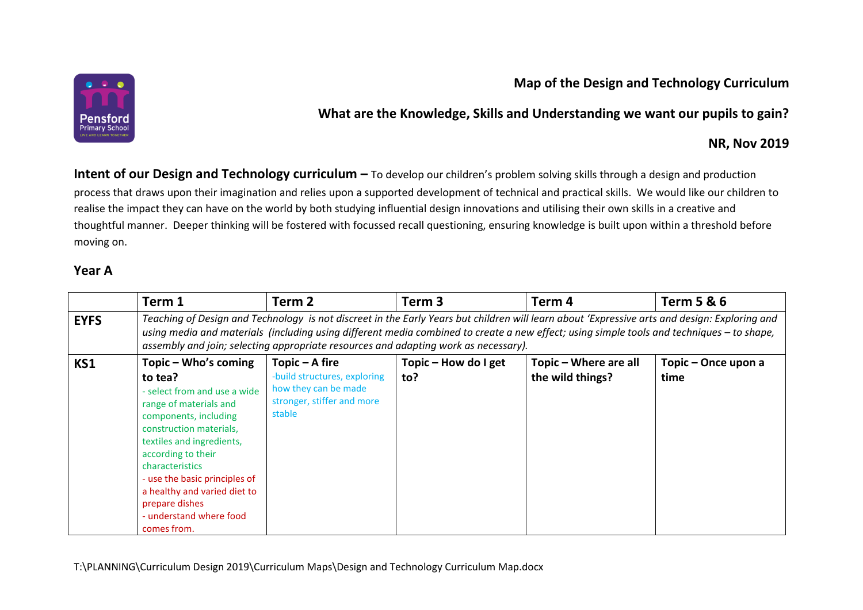

# **Map of the Design and Technology Curriculum**

### **What are the Knowledge, Skills and Understanding we want our pupils to gain?**

#### **NR, Nov 2019**

**Intent of our Design and Technology curriculum –** To develop our children's problem solving skills through a design and production process that draws upon their imagination and relies upon a supported development of technical and practical skills. We would like our children to realise the impact they can have on the world by both studying influential design innovations and utilising their own skills in a creative and thoughtful manner. Deeper thinking will be fostered with focussed recall questioning, ensuring knowledge is built upon within a threshold before moving on.

### **Year A**

|             | Term 1                                                                                                                                                                                                                                                                                                                                                                            | Term <sub>2</sub>                                                                                              | Term <sub>3</sub>           | Term <sub>4</sub>                         | <b>Term 5 &amp; 6</b>       |
|-------------|-----------------------------------------------------------------------------------------------------------------------------------------------------------------------------------------------------------------------------------------------------------------------------------------------------------------------------------------------------------------------------------|----------------------------------------------------------------------------------------------------------------|-----------------------------|-------------------------------------------|-----------------------------|
| <b>EYFS</b> | Teaching of Design and Technology is not discreet in the Early Years but children will learn about 'Expressive arts and design: Exploring and<br>using media and materials (including using different media combined to create a new effect; using simple tools and techniques – to shape,<br>assembly and join; selecting appropriate resources and adapting work as necessary). |                                                                                                                |                             |                                           |                             |
| <b>KS1</b>  | Topic – Who's coming<br>to tea?<br>- select from and use a wide<br>range of materials and<br>components, including<br>construction materials,<br>textiles and ingredients,<br>according to their<br>characteristics<br>- use the basic principles of<br>a healthy and varied diet to<br>prepare dishes<br>- understand where food<br>comes from.                                  | Topic – A fire<br>-build structures, exploring<br>how they can be made<br>stronger, stiffer and more<br>stable | Topic – How do I get<br>to? | Topic – Where are all<br>the wild things? | Topic - Once upon a<br>time |

T:\PLANNING\Curriculum Design 2019\Curriculum Maps\Design and Technology Curriculum Map.docx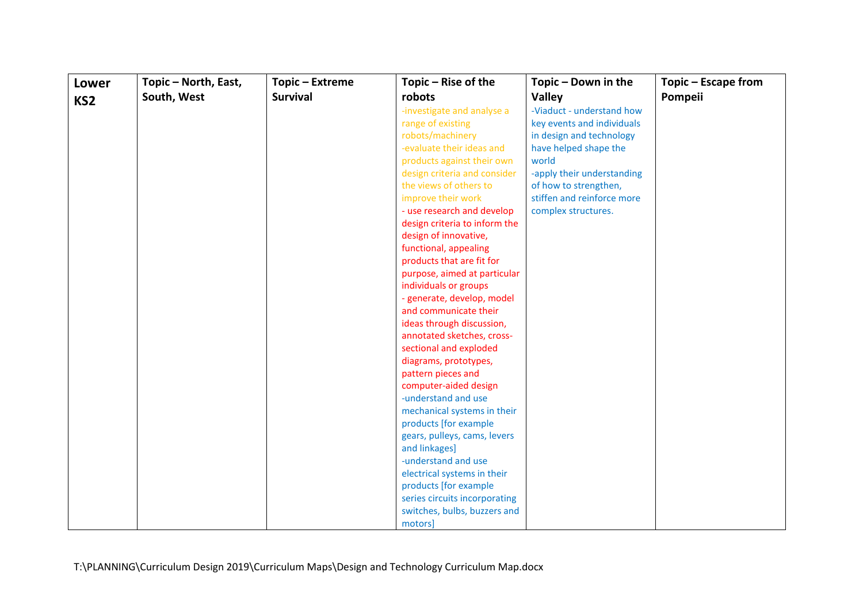| Lower           | Topic - North, East, | Topic - Extreme | Topic - Rise of the                          | Topic - Down in the        | Topic - Escape from |
|-----------------|----------------------|-----------------|----------------------------------------------|----------------------------|---------------------|
| KS <sub>2</sub> | South, West          | <b>Survival</b> | robots                                       | <b>Valley</b>              | Pompeii             |
|                 |                      |                 | -investigate and analyse a                   | -Viaduct - understand how  |                     |
|                 |                      |                 | range of existing                            | key events and individuals |                     |
|                 |                      |                 | robots/machinery                             | in design and technology   |                     |
|                 |                      |                 | -evaluate their ideas and                    | have helped shape the      |                     |
|                 |                      |                 | products against their own                   | world                      |                     |
|                 |                      |                 | design criteria and consider                 | -apply their understanding |                     |
|                 |                      |                 | the views of others to                       | of how to strengthen,      |                     |
|                 |                      |                 | improve their work                           | stiffen and reinforce more |                     |
|                 |                      |                 | - use research and develop                   | complex structures.        |                     |
|                 |                      |                 | design criteria to inform the                |                            |                     |
|                 |                      |                 | design of innovative,                        |                            |                     |
|                 |                      |                 | functional, appealing                        |                            |                     |
|                 |                      |                 | products that are fit for                    |                            |                     |
|                 |                      |                 | purpose, aimed at particular                 |                            |                     |
|                 |                      |                 | individuals or groups                        |                            |                     |
|                 |                      |                 | - generate, develop, model                   |                            |                     |
|                 |                      |                 | and communicate their                        |                            |                     |
|                 |                      |                 | ideas through discussion,                    |                            |                     |
|                 |                      |                 | annotated sketches, cross-                   |                            |                     |
|                 |                      |                 | sectional and exploded                       |                            |                     |
|                 |                      |                 | diagrams, prototypes,                        |                            |                     |
|                 |                      |                 | pattern pieces and                           |                            |                     |
|                 |                      |                 | computer-aided design<br>-understand and use |                            |                     |
|                 |                      |                 | mechanical systems in their                  |                            |                     |
|                 |                      |                 | products [for example                        |                            |                     |
|                 |                      |                 | gears, pulleys, cams, levers                 |                            |                     |
|                 |                      |                 | and linkages]                                |                            |                     |
|                 |                      |                 | -understand and use                          |                            |                     |
|                 |                      |                 | electrical systems in their                  |                            |                     |
|                 |                      |                 | products [for example                        |                            |                     |
|                 |                      |                 | series circuits incorporating                |                            |                     |
|                 |                      |                 | switches, bulbs, buzzers and                 |                            |                     |
|                 |                      |                 | motors]                                      |                            |                     |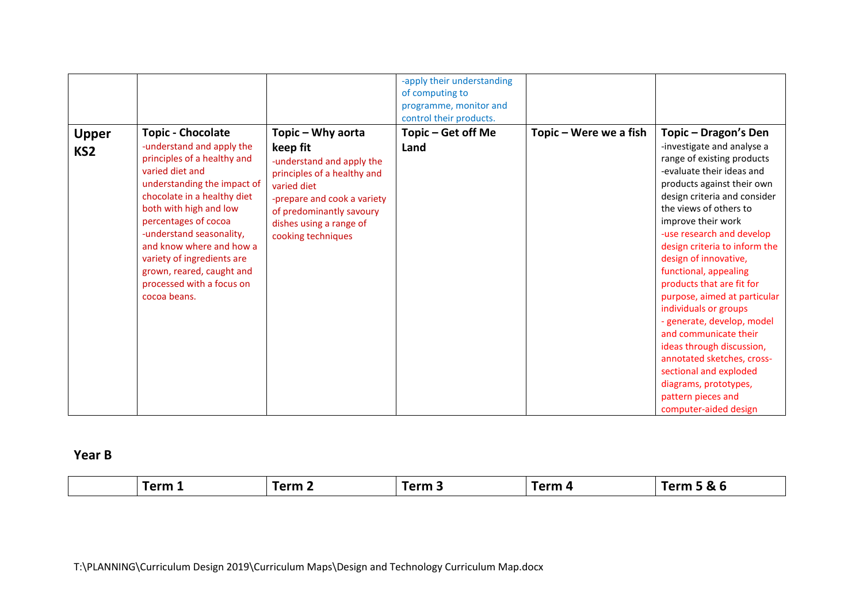|                                 |                                                                                                                                                                                                                                                                                                                                                                                         |                                                                                                                                                                                                                      | -apply their understanding<br>of computing to<br>programme, monitor and<br>control their products. |                        |                                                                                                                                                                                                                                                                                                                                                                                                                                                                                                                                                                                                                                                       |
|---------------------------------|-----------------------------------------------------------------------------------------------------------------------------------------------------------------------------------------------------------------------------------------------------------------------------------------------------------------------------------------------------------------------------------------|----------------------------------------------------------------------------------------------------------------------------------------------------------------------------------------------------------------------|----------------------------------------------------------------------------------------------------|------------------------|-------------------------------------------------------------------------------------------------------------------------------------------------------------------------------------------------------------------------------------------------------------------------------------------------------------------------------------------------------------------------------------------------------------------------------------------------------------------------------------------------------------------------------------------------------------------------------------------------------------------------------------------------------|
| <b>Upper</b><br>KS <sub>2</sub> | <b>Topic - Chocolate</b><br>-understand and apply the<br>principles of a healthy and<br>varied diet and<br>understanding the impact of<br>chocolate in a healthy diet<br>both with high and low<br>percentages of cocoa<br>-understand seasonality,<br>and know where and how a<br>variety of ingredients are<br>grown, reared, caught and<br>processed with a focus on<br>cocoa beans. | Topic - Why aorta<br>keep fit<br>-understand and apply the<br>principles of a healthy and<br>varied diet<br>-prepare and cook a variety<br>of predominantly savoury<br>dishes using a range of<br>cooking techniques | Topic – Get off Me<br>Land                                                                         | Topic – Were we a fish | Topic – Dragon's Den<br>-investigate and analyse a<br>range of existing products<br>-evaluate their ideas and<br>products against their own<br>design criteria and consider<br>the views of others to<br>improve their work<br>-use research and develop<br>design criteria to inform the<br>design of innovative,<br>functional, appealing<br>products that are fit for<br>purpose, aimed at particular<br>individuals or groups<br>- generate, develop, model<br>and communicate their<br>ideas through discussion,<br>annotated sketches, cross-<br>sectional and exploded<br>diagrams, prototypes,<br>pattern pieces and<br>computer-aided design |

# **Year B**

| $\mathbf{r}$<br>Γerm<br>Term<br>rerm<br>$Term \sim$<br>$\sim$<br>$\mathbf{r}$<br>œ<br>.<br>. . |
|------------------------------------------------------------------------------------------------|
|------------------------------------------------------------------------------------------------|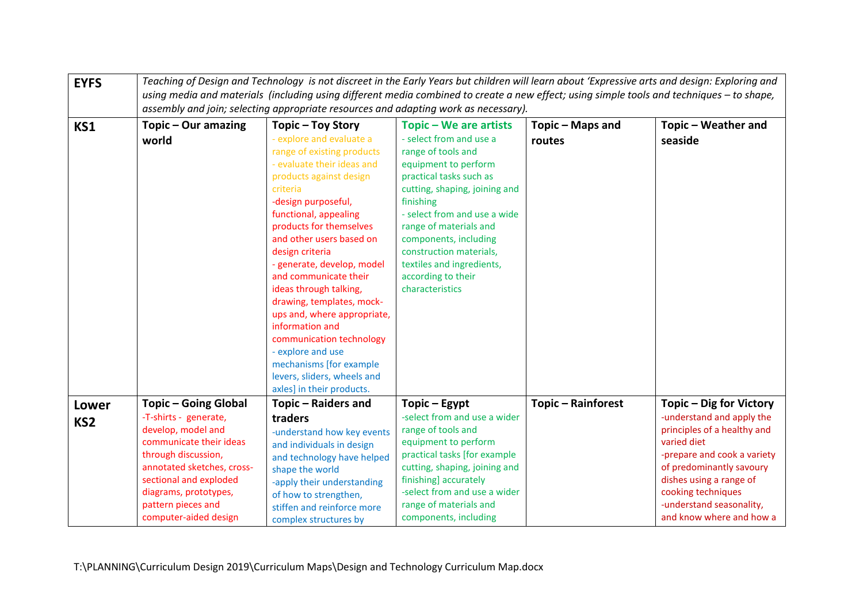| <b>EYFS</b>                     | Teaching of Design and Technology is not discreet in the Early Years but children will learn about 'Expressive arts and design: Exploring and<br>using media and materials (including using different media combined to create a new effect; using simple tools and techniques - to shape,<br>assembly and join; selecting appropriate resources and adapting work as necessary). |                                                                                                                                                                                                                                                                                                                                                                                                                                                                                                                                                                                    |                                                                                                                                                                                                                                                                                                                                                              |                            |                                                                                                                                                                                                                                                                        |
|---------------------------------|-----------------------------------------------------------------------------------------------------------------------------------------------------------------------------------------------------------------------------------------------------------------------------------------------------------------------------------------------------------------------------------|------------------------------------------------------------------------------------------------------------------------------------------------------------------------------------------------------------------------------------------------------------------------------------------------------------------------------------------------------------------------------------------------------------------------------------------------------------------------------------------------------------------------------------------------------------------------------------|--------------------------------------------------------------------------------------------------------------------------------------------------------------------------------------------------------------------------------------------------------------------------------------------------------------------------------------------------------------|----------------------------|------------------------------------------------------------------------------------------------------------------------------------------------------------------------------------------------------------------------------------------------------------------------|
| KS1                             | Topic - Our amazing<br>world                                                                                                                                                                                                                                                                                                                                                      | Topic - Toy Story<br>- explore and evaluate a<br>range of existing products<br>- evaluate their ideas and<br>products against design<br>criteria<br>-design purposeful,<br>functional, appealing<br>products for themselves<br>and other users based on<br>design criteria<br>- generate, develop, model<br>and communicate their<br>ideas through talking,<br>drawing, templates, mock-<br>ups and, where appropriate,<br>information and<br>communication technology<br>- explore and use<br>mechanisms [for example<br>levers, sliders, wheels and<br>axles] in their products. | Topic – We are artists<br>- select from and use a<br>range of tools and<br>equipment to perform<br>practical tasks such as<br>cutting, shaping, joining and<br>finishing<br>- select from and use a wide<br>range of materials and<br>components, including<br>construction materials,<br>textiles and ingredients,<br>according to their<br>characteristics | Topic - Maps and<br>routes | Topic - Weather and<br>seaside                                                                                                                                                                                                                                         |
| <b>Lower</b><br>KS <sub>2</sub> | Topic – Going Global<br>-T-shirts - generate,<br>develop, model and<br>communicate their ideas<br>through discussion,<br>annotated sketches, cross-<br>sectional and exploded<br>diagrams, prototypes,<br>pattern pieces and<br>computer-aided design                                                                                                                             | Topic - Raiders and<br>traders<br>-understand how key events<br>and individuals in design<br>and technology have helped<br>shape the world<br>-apply their understanding<br>of how to strengthen,<br>stiffen and reinforce more<br>complex structures by                                                                                                                                                                                                                                                                                                                           | Topic – Egypt<br>-select from and use a wider<br>range of tools and<br>equipment to perform<br>practical tasks [for example<br>cutting, shaping, joining and<br>finishing] accurately<br>-select from and use a wider<br>range of materials and<br>components, including                                                                                     | <b>Topic - Rainforest</b>  | Topic - Dig for Victory<br>-understand and apply the<br>principles of a healthy and<br>varied diet<br>-prepare and cook a variety<br>of predominantly savoury<br>dishes using a range of<br>cooking techniques<br>-understand seasonality,<br>and know where and how a |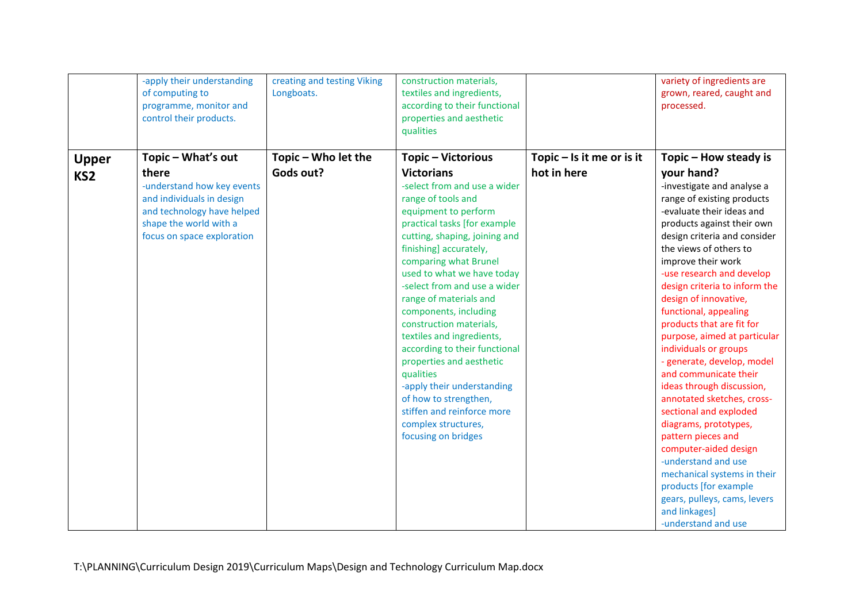|                 | -apply their understanding<br>of computing to<br>programme, monitor and<br>control their products.                                            | creating and testing Viking<br>Longboats. | construction materials,<br>textiles and ingredients,<br>according to their functional<br>properties and aesthetic<br>qualities                                                                                                                                                                                                                                                                                                                                                                                                                                                       |                             | variety of ingredients are<br>grown, reared, caught and<br>processed.                                                                                                                                                                                                                                                                                                                                                                                                                                                                                                                                                                                                                                                                                                                |
|-----------------|-----------------------------------------------------------------------------------------------------------------------------------------------|-------------------------------------------|--------------------------------------------------------------------------------------------------------------------------------------------------------------------------------------------------------------------------------------------------------------------------------------------------------------------------------------------------------------------------------------------------------------------------------------------------------------------------------------------------------------------------------------------------------------------------------------|-----------------------------|--------------------------------------------------------------------------------------------------------------------------------------------------------------------------------------------------------------------------------------------------------------------------------------------------------------------------------------------------------------------------------------------------------------------------------------------------------------------------------------------------------------------------------------------------------------------------------------------------------------------------------------------------------------------------------------------------------------------------------------------------------------------------------------|
| <b>Upper</b>    | Topic - What's out                                                                                                                            | Topic - Who let the                       | Topic - Victorious                                                                                                                                                                                                                                                                                                                                                                                                                                                                                                                                                                   | Topic $-$ Is it me or is it | Topic - How steady is                                                                                                                                                                                                                                                                                                                                                                                                                                                                                                                                                                                                                                                                                                                                                                |
| KS <sub>2</sub> | there                                                                                                                                         | Gods out?                                 | <b>Victorians</b>                                                                                                                                                                                                                                                                                                                                                                                                                                                                                                                                                                    | hot in here                 | your hand?                                                                                                                                                                                                                                                                                                                                                                                                                                                                                                                                                                                                                                                                                                                                                                           |
|                 | -understand how key events<br>and individuals in design<br>and technology have helped<br>shape the world with a<br>focus on space exploration |                                           | -select from and use a wider<br>range of tools and<br>equipment to perform<br>practical tasks [for example<br>cutting, shaping, joining and<br>finishing] accurately,<br>comparing what Brunel<br>used to what we have today<br>-select from and use a wider<br>range of materials and<br>components, including<br>construction materials,<br>textiles and ingredients,<br>according to their functional<br>properties and aesthetic<br>qualities<br>-apply their understanding<br>of how to strengthen,<br>stiffen and reinforce more<br>complex structures,<br>focusing on bridges |                             | -investigate and analyse a<br>range of existing products<br>-evaluate their ideas and<br>products against their own<br>design criteria and consider<br>the views of others to<br>improve their work<br>-use research and develop<br>design criteria to inform the<br>design of innovative,<br>functional, appealing<br>products that are fit for<br>purpose, aimed at particular<br>individuals or groups<br>- generate, develop, model<br>and communicate their<br>ideas through discussion,<br>annotated sketches, cross-<br>sectional and exploded<br>diagrams, prototypes,<br>pattern pieces and<br>computer-aided design<br>-understand and use<br>mechanical systems in their<br>products [for example<br>gears, pulleys, cams, levers<br>and linkages]<br>-understand and use |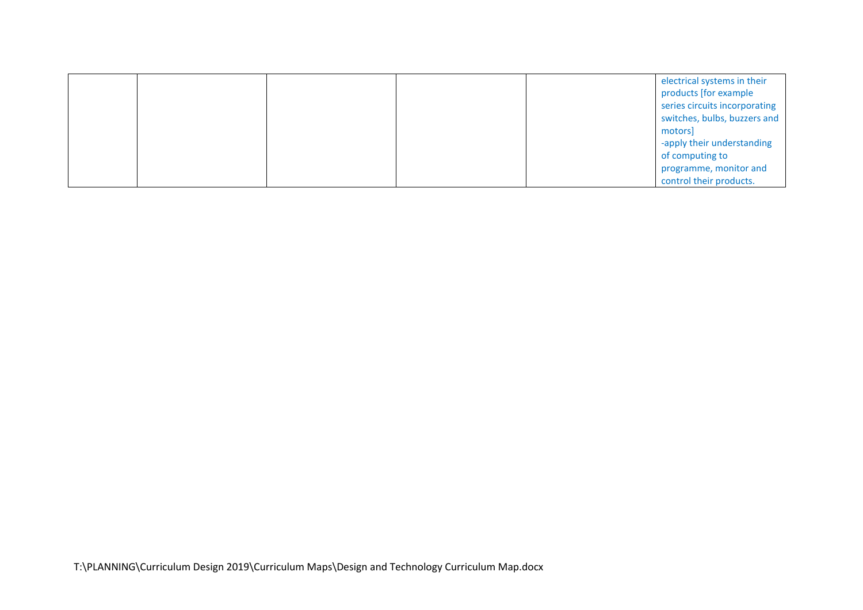|  |  | electrical systems in their   |
|--|--|-------------------------------|
|  |  | products [for example         |
|  |  | series circuits incorporating |
|  |  | switches, bulbs, buzzers and  |
|  |  | motors                        |
|  |  | -apply their understanding    |
|  |  | of computing to               |
|  |  | programme, monitor and        |
|  |  | control their products.       |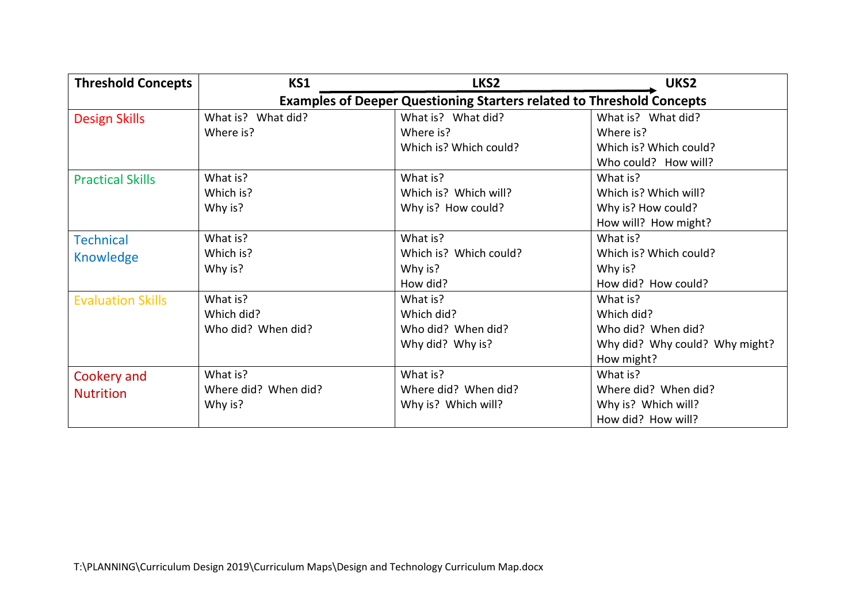| <b>Threshold Concepts</b> | KS1                  | LKS <sub>2</sub>                                                             | UKS <sub>2</sub>               |
|---------------------------|----------------------|------------------------------------------------------------------------------|--------------------------------|
|                           |                      | <b>Examples of Deeper Questioning Starters related to Threshold Concepts</b> |                                |
| <b>Design Skills</b>      | What is? What did?   | What is? What did?                                                           | What is? What did?             |
|                           | Where is?            | Where is?                                                                    | Where is?                      |
|                           |                      | Which is? Which could?                                                       | Which is? Which could?         |
|                           |                      |                                                                              | Who could? How will?           |
| <b>Practical Skills</b>   | What is?             | What is?                                                                     | What is?                       |
|                           | Which is?            | Which is? Which will?                                                        | Which is? Which will?          |
|                           | Why is?              | Why is? How could?                                                           | Why is? How could?             |
|                           |                      |                                                                              | How will? How might?           |
| <b>Technical</b>          | What is?             | What is?                                                                     | What is?                       |
| Knowledge                 | Which is?            | Which is? Which could?                                                       | Which is? Which could?         |
|                           | Why is?              | Why is?                                                                      | Why is?                        |
|                           |                      | How did?                                                                     | How did? How could?            |
| <b>Evaluation Skills</b>  | What is?             | What is?                                                                     | What is?                       |
|                           | Which did?           | Which did?                                                                   | Which did?                     |
|                           | Who did? When did?   | Who did? When did?                                                           | Who did? When did?             |
|                           |                      | Why did? Why is?                                                             | Why did? Why could? Why might? |
|                           |                      |                                                                              | How might?                     |
| Cookery and               | What is?             | What is?                                                                     | What is?                       |
| <b>Nutrition</b>          | Where did? When did? | Where did? When did?                                                         | Where did? When did?           |
|                           | Why is?              | Why is? Which will?                                                          | Why is? Which will?            |
|                           |                      |                                                                              | How did? How will?             |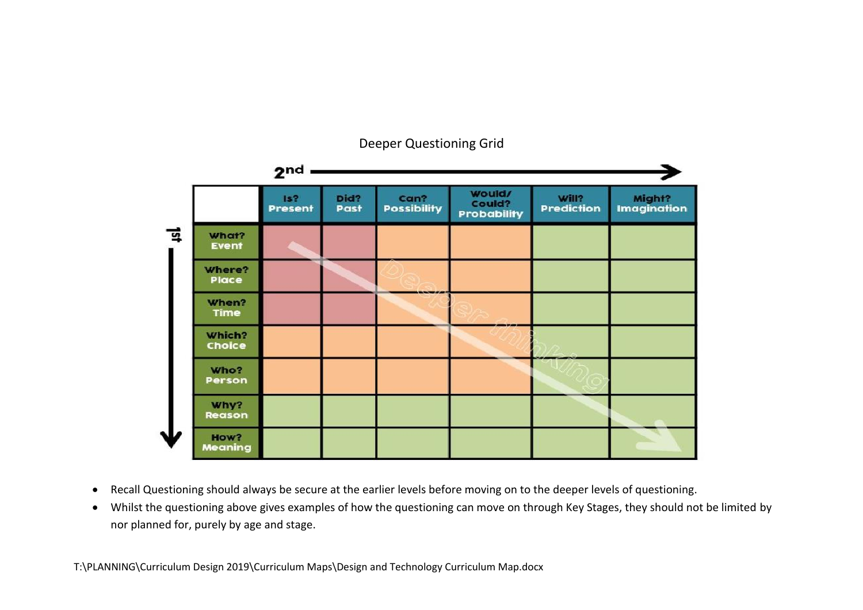

#### Deeper Questioning Grid

- Recall Questioning should always be secure at the earlier levels before moving on to the deeper levels of questioning.
- Whilst the questioning above gives examples of how the questioning can move on through Key Stages, they should not be limited by nor planned for, purely by age and stage.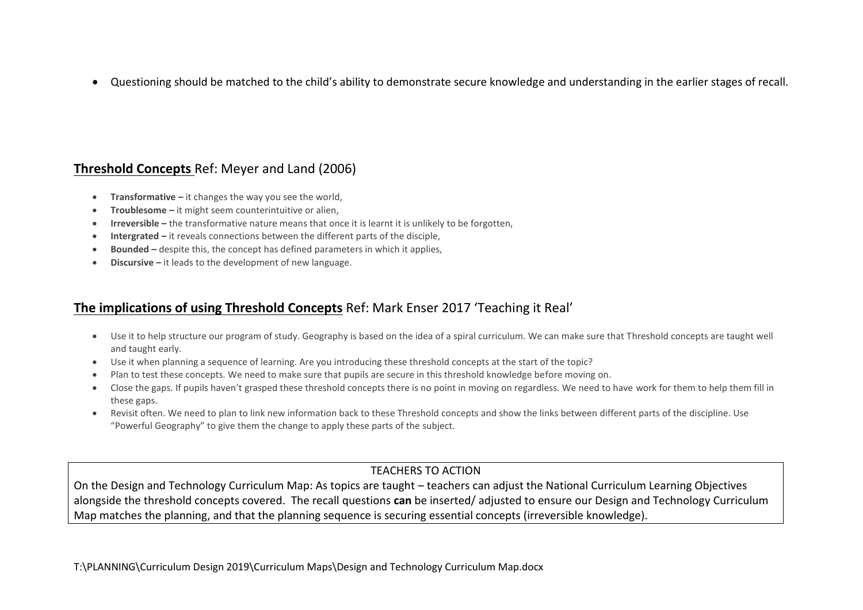Questioning should be matched to the child's ability to demonstrate secure knowledge and understanding in the earlier stages of recall.

## **Threshold Concepts** Ref: Meyer and Land (2006)

- **Transformative –** it changes the way you see the world,
- **Troublesome –** it might seem counterintuitive or alien,
- **Irreversible –** the transformative nature means that once it is learnt it is unlikely to be forgotten,
- **Intergrated –** it reveals connections between the different parts of the disciple,
- **Bounded –** despite this, the concept has defined parameters in which it applies,
- **Discursive –** it leads to the development of new language.

## **The implications of using Threshold Concepts** Ref: Mark Enser 2017 'Teaching it Real'

- Use it to help structure our program of study. Geography is based on the idea of a spiral curriculum. We can make sure that Threshold concepts are taught well and taught early.
- Use it when planning a sequence of learning. Are you introducing these threshold concepts at the start of the topic?
- Plan to test these concepts. We need to make sure that pupils are secure in this threshold knowledge before moving on.
- Close the gaps. If pupils haven't grasped these threshold concepts there is no point in moving on regardless. We need to have work for them to help them fill in these gaps.
- Revisit often. We need to plan to link new information back to these Threshold concepts and show the links between different parts of the discipline. Use "Powerful Geography" to give them the change to apply these parts of the subject.

### TEACHERS TO ACTION

On the Design and Technology Curriculum Map: As topics are taught – teachers can adjust the National Curriculum Learning Objectives alongside the threshold concepts covered. The recall questions **can** be inserted/ adjusted to ensure our Design and Technology Curriculum Map matches the planning, and that the planning sequence is securing essential concepts (irreversible knowledge).